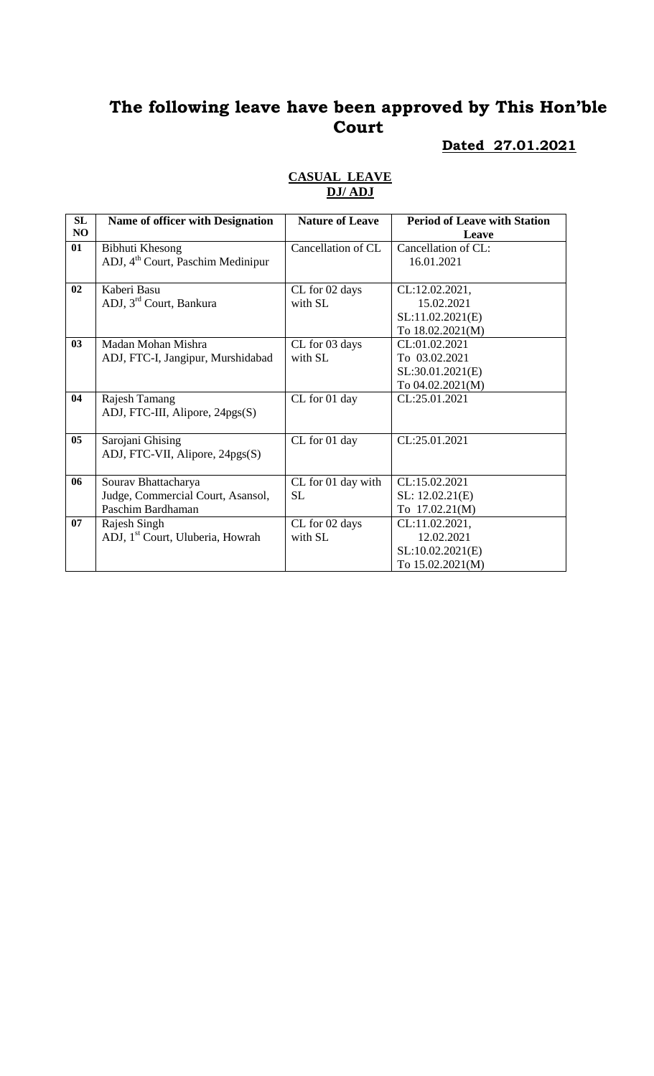# **Dated 27.01.2021**

#### **CASUAL LEAVE DJ/ ADJ**

| SL             | <b>Name of officer with Designation</b>       | <b>Nature of Leave</b> | <b>Period of Leave with Station</b> |
|----------------|-----------------------------------------------|------------------------|-------------------------------------|
| NO.            |                                               |                        | Leave                               |
| 01             | Bibhuti Khesong                               | Cancellation of CL     | Cancellation of CL:                 |
|                | ADJ, 4 <sup>th</sup> Court, Paschim Medinipur |                        | 16.01.2021                          |
|                |                                               |                        |                                     |
| 02             | Kaberi Basu                                   | CL for 02 days         | CL:12.02.2021,                      |
|                | ADJ, 3 <sup>rd</sup> Court, Bankura           | with SL                | 15.02.2021                          |
|                |                                               |                        | SL:11.02.2021(E)                    |
|                |                                               |                        | To 18.02.2021(M)                    |
| 03             | Madan Mohan Mishra                            | CL for 03 days         | CL:01.02.2021                       |
|                | ADJ, FTC-I, Jangipur, Murshidabad             | with SL                | To 03.02.2021                       |
|                |                                               |                        | SL:30.01.2021(E)                    |
|                |                                               |                        | To 04.02.2021(M)                    |
| 04             | Rajesh Tamang                                 | CL for 01 day          | CL:25.01.2021                       |
|                | ADJ, FTC-III, Alipore, 24pgs(S)               |                        |                                     |
|                |                                               |                        |                                     |
| 0 <sub>5</sub> | Sarojani Ghising                              | CL for 01 day          | CL:25.01.2021                       |
|                | ADJ, FTC-VII, Alipore, 24pgs(S)               |                        |                                     |
|                |                                               |                        |                                     |
| 06             | Sourav Bhattacharya                           | CL for 01 day with     | CL:15.02.2021                       |
|                | Judge, Commercial Court, Asansol,             | <b>SL</b>              | SL: 12.02.21(E)                     |
|                | Paschim Bardhaman                             |                        | To 17.02.21(M)                      |
| 07             | Rajesh Singh                                  | CL for 02 days         | CL:11.02.2021,                      |
|                | ADJ, 1 <sup>st</sup> Court, Uluberia, Howrah  | with SL                | 12.02.2021                          |
|                |                                               |                        | SL:10.02.2021(E)                    |
|                |                                               |                        | To 15.02.2021(M)                    |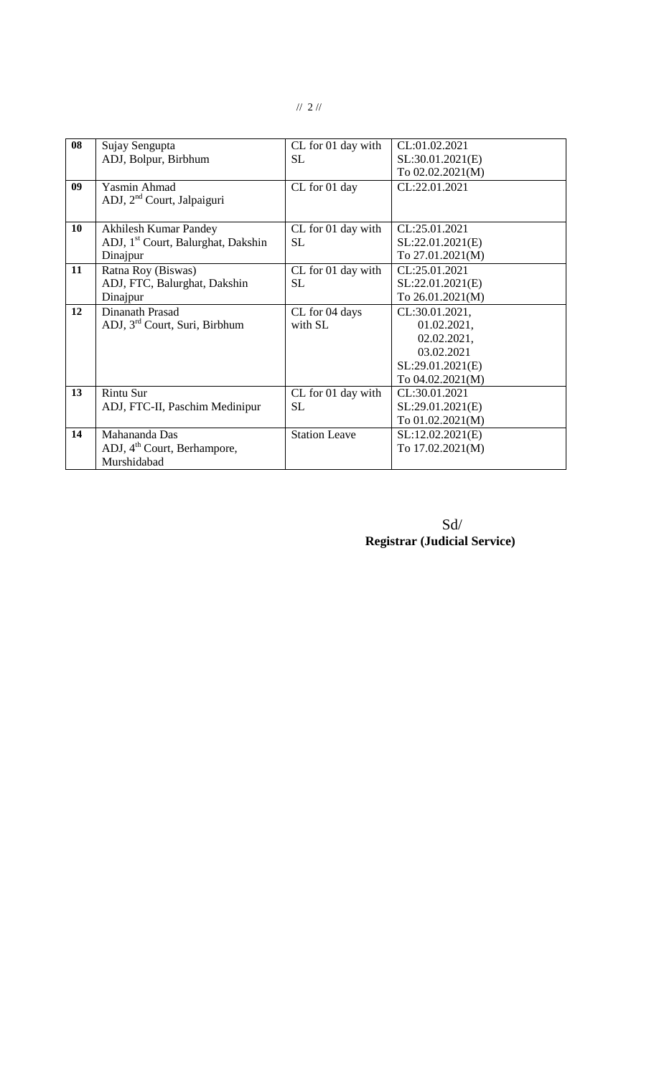| 08 | Sujay Sengupta                                 | CL for 01 day with   | CL:01.02.2021    |
|----|------------------------------------------------|----------------------|------------------|
|    | ADJ, Bolpur, Birbhum                           | SL                   | SL:30.01.2021(E) |
|    |                                                |                      | To 02.02.2021(M) |
| 09 | <b>Yasmin Ahmad</b>                            | CL for 01 day        | CL:22.01.2021    |
|    | ADJ, 2 <sup>nd</sup> Court, Jalpaiguri         |                      |                  |
|    |                                                |                      |                  |
| 10 | <b>Akhilesh Kumar Pandey</b>                   | CL for 01 day with   | CL:25.01.2021    |
|    | ADJ, 1 <sup>st</sup> Court, Balurghat, Dakshin | SL                   | SL:22.01.2021(E) |
|    | Dinajpur                                       |                      | To 27.01.2021(M) |
| 11 | Ratna Roy (Biswas)                             | CL for 01 day with   | CL:25.01.2021    |
|    | ADJ, FTC, Balurghat, Dakshin                   | SL                   | SL:22.01.2021(E) |
|    | Dinajpur                                       |                      | To 26.01.2021(M) |
| 12 | Dinanath Prasad                                | CL for 04 days       | CL:30.01.2021,   |
|    | ADJ, 3 <sup>rd</sup> Court, Suri, Birbhum      | with SL              | 01.02.2021,      |
|    |                                                |                      | 02.02.2021,      |
|    |                                                |                      | 03.02.2021       |
|    |                                                |                      | SL:29.01.2021(E) |
|    |                                                |                      | To 04.02.2021(M) |
| 13 | <b>Rintu Sur</b>                               | CL for 01 day with   | CL:30.01.2021    |
|    | ADJ, FTC-II, Paschim Medinipur                 | <b>SL</b>            | SL:29.01.2021(E) |
|    |                                                |                      | To 01.02.2021(M) |
| 14 | Mahananda Das                                  | <b>Station Leave</b> | SL:12.02.2021(E) |
|    | ADJ, 4 <sup>th</sup> Court, Berhampore,        |                      | To 17.02.2021(M) |
|    | Murshidabad                                    |                      |                  |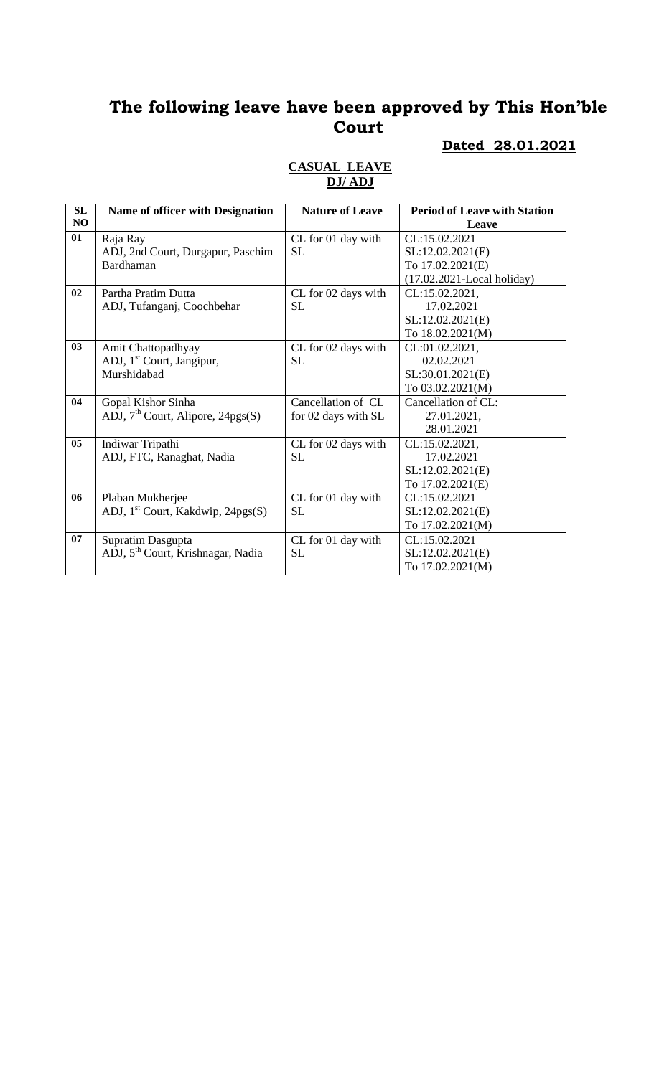## **Dated 28.01.2021**

| <b>SL</b>      | <b>Name of officer with Designation</b>       | <b>Nature of Leave</b> | <b>Period of Leave with Station</b> |
|----------------|-----------------------------------------------|------------------------|-------------------------------------|
| NO             |                                               |                        | Leave                               |
| 01             | Raja Ray                                      | CL for 01 day with     | CL:15.02.2021                       |
|                | ADJ, 2nd Court, Durgapur, Paschim             | <b>SL</b>              | SL:12.02.2021(E)                    |
|                | Bardhaman                                     |                        | To 17.02.2021(E)                    |
|                |                                               |                        | $(17.02.2021$ -Local holiday)       |
| 02             | Partha Pratim Dutta                           | CL for 02 days with    | CL:15.02.2021,                      |
|                | ADJ, Tufanganj, Coochbehar                    | <b>SL</b>              | 17.02.2021                          |
|                |                                               |                        | SL:12.02.2021(E)                    |
|                |                                               |                        | To 18.02.2021(M)                    |
| 03             | Amit Chattopadhyay                            | CL for 02 days with    | CL:01.02.2021,                      |
|                | ADJ, 1 <sup>st</sup> Court, Jangipur,         | <b>SL</b>              | 02.02.2021                          |
|                | Murshidabad                                   |                        | SL:30.01.2021(E)                    |
|                |                                               |                        | To 03.02.2021(M)                    |
| 04             | Gopal Kishor Sinha                            | Cancellation of CL     | Cancellation of CL:                 |
|                | ADJ, $7th$ Court, Alipore, 24pgs(S)           | for 02 days with SL    | 27.01.2021,                         |
|                |                                               |                        | 28.01.2021                          |
| 0 <sub>5</sub> | Indiwar Tripathi                              | CL for 02 days with    | CL:15.02.2021,                      |
|                | ADJ, FTC, Ranaghat, Nadia                     | <b>SL</b>              | 17.02.2021                          |
|                |                                               |                        | SL:12.02.2021(E)                    |
|                |                                               |                        | To 17.02.2021(E)                    |
| 06             | Plaban Mukherjee                              | CL for 01 day with     | CL:15.02.2021                       |
|                | ADJ, 1 <sup>st</sup> Court, Kakdwip, 24pgs(S) | <b>SL</b>              | SL:12.02.2021(E)                    |
|                |                                               |                        | To 17.02.2021(M)                    |
| 07             | Supratim Dasgupta                             | CL for 01 day with     | CL:15.02.2021                       |
|                | ADJ, 5 <sup>th</sup> Court, Krishnagar, Nadia | <b>SL</b>              | SL:12.02.2021(E)                    |
|                |                                               |                        | To 17.02.2021(M)                    |

### **CASUAL LEAVE DJ/ ADJ**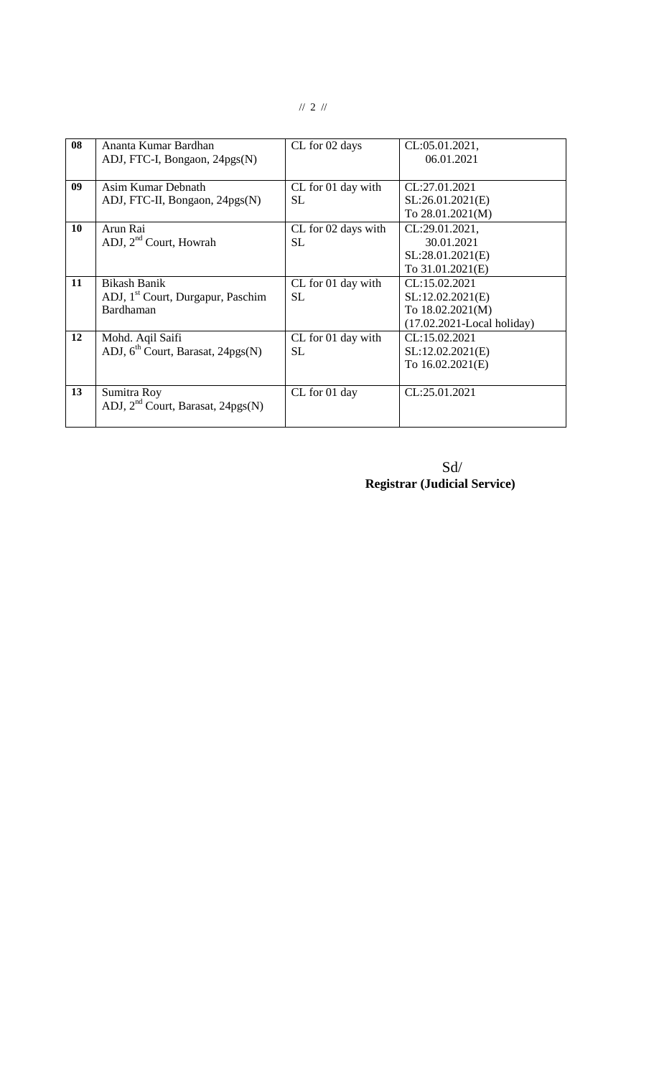| 08        | Ananta Kumar Bardhan                          | CL for 02 days      | CL:05.01.2021,                 |
|-----------|-----------------------------------------------|---------------------|--------------------------------|
|           | ADJ, FTC-I, Bongaon, 24pgs(N)                 |                     | 06.01.2021                     |
|           |                                               |                     |                                |
| 09        | Asim Kumar Debnath                            | CL for 01 day with  | CL:27.01.2021                  |
|           | ADJ, FTC-II, Bongaon, 24pgs(N)                | <b>SL</b>           | SL:26.01.2021(E)               |
|           |                                               |                     | To 28.01.2021(M)               |
| <b>10</b> | Arun Rai                                      | CL for 02 days with | CL:29.01.2021,                 |
|           | ADJ, 2 <sup>nd</sup> Court, Howrah            | SL.                 | 30.01.2021                     |
|           |                                               |                     | SL:28.01.2021(E)               |
|           |                                               |                     | To 31.01.2021(E)               |
| 11        | <b>Bikash Banik</b>                           | CL for 01 day with  | CL:15.02.2021                  |
|           | ADJ, 1 <sup>st</sup> Court, Durgapur, Paschim | SL.                 | SL:12.02.2021(E)               |
|           | Bardhaman                                     |                     | To 18.02.2021(M)               |
|           |                                               |                     | $(17.02.2021 - Local holiday)$ |
| 12        | Mohd. Aqil Saifi                              | CL for 01 day with  | CL:15.02.2021                  |
|           | ADJ, 6 <sup>th</sup> Court, Barasat, 24pgs(N) | SL.                 | SL:12.02.2021(E)               |
|           |                                               |                     | To 16.02.2021(E)               |
|           |                                               |                     |                                |
| 13        | Sumitra Roy                                   | CL for 01 day       | CL:25.01.2021                  |
|           | ADJ, 2 <sup>nd</sup> Court, Barasat, 24pgs(N) |                     |                                |
|           |                                               |                     |                                |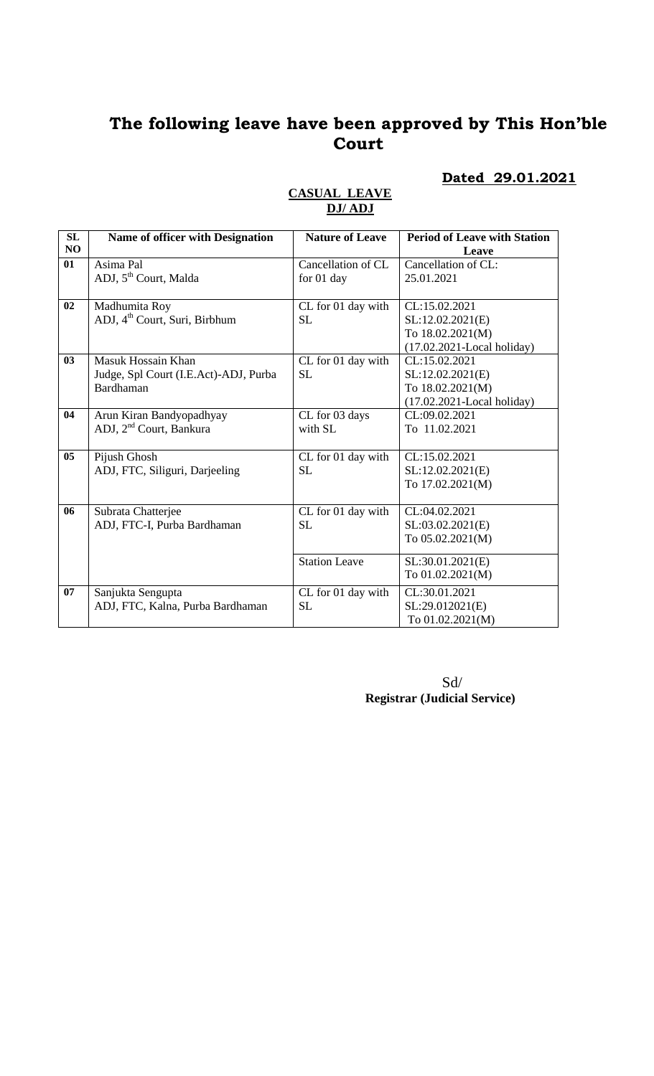### **Dated 29.01.2021**

| SL<br>NO | Name of officer with Designation          | <b>Nature of Leave</b> | <b>Period of Leave with Station</b> |
|----------|-------------------------------------------|------------------------|-------------------------------------|
|          |                                           |                        | Leave                               |
| 01       | Asima Pal                                 | Cancellation of CL     | Cancellation of CL:                 |
|          | ADJ, 5 <sup>th</sup> Court, Malda         | for 01 day             | 25.01.2021                          |
| 02       | Madhumita Roy                             | CL for 01 day with     | CL:15.02.2021                       |
|          | ADJ, 4 <sup>th</sup> Court, Suri, Birbhum | SL.                    | SL:12.02.2021(E)                    |
|          |                                           |                        | To 18.02.2021(M)                    |
|          |                                           |                        | $(17.02.2021$ -Local holiday)       |
| 03       | Masuk Hossain Khan                        | CL for 01 day with     | CL:15.02.2021                       |
|          | Judge, Spl Court (I.E.Act)-ADJ, Purba     | <b>SL</b>              | SL:12.02.2021(E)                    |
|          | Bardhaman                                 |                        | To 18.02.2021(M)                    |
|          |                                           |                        | $(17.02.2021$ -Local holiday)       |
| 04       | Arun Kiran Bandyopadhyay                  | CL for 03 days         | CL:09.02.2021                       |
|          | ADJ, 2 <sup>nd</sup> Court, Bankura       | with SL                | To 11.02.2021                       |
|          |                                           |                        |                                     |
| 05       | Pijush Ghosh                              | CL for 01 day with     | CL:15.02.2021                       |
|          | ADJ, FTC, Siliguri, Darjeeling            | <b>SL</b>              | SL:12.02.2021(E)                    |
|          |                                           |                        | To 17.02.2021(M)                    |
| 06       | Subrata Chatterjee                        | CL for 01 day with     | CL:04.02.2021                       |
|          | ADJ, FTC-I, Purba Bardhaman               | <b>SL</b>              | SL:03.02.2021(E)                    |
|          |                                           |                        | To 05.02.2021(M)                    |
|          |                                           | <b>Station Leave</b>   | SL:30.01.2021(E)                    |
|          |                                           |                        | To 01.02.2021(M)                    |
| 07       | Sanjukta Sengupta                         | CL for 01 day with     | CL:30.01.2021                       |
|          | ADJ, FTC, Kalna, Purba Bardhaman          | <b>SL</b>              | SL:29.012021(E)                     |
|          |                                           |                        | To 01.02.2021(M)                    |

#### **CASUAL LEAVE DJ/ ADJ**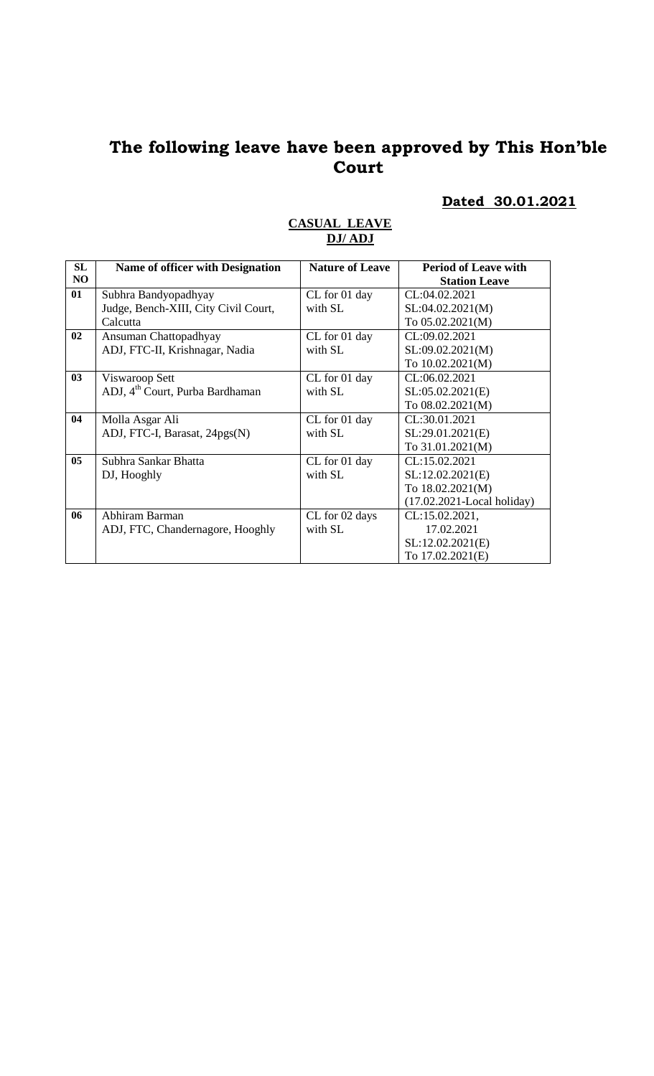# **Dated 30.01.2021**

| SL             | Name of officer with Designation            | <b>Nature of Leave</b> | <b>Period of Leave with</b>   |
|----------------|---------------------------------------------|------------------------|-------------------------------|
| NO             |                                             |                        | <b>Station Leave</b>          |
| 01             | Subhra Bandyopadhyay                        | CL for 01 day          | CL:04.02.2021                 |
|                | Judge, Bench-XIII, City Civil Court,        | with SL                | SL:04.02.2021(M)              |
|                | Calcutta                                    |                        | To 05.02.2021(M)              |
| 02             | Ansuman Chattopadhyay                       | CL for 01 day          | CL:09.02.2021                 |
|                | ADJ, FTC-II, Krishnagar, Nadia              | with SL                | SL:09.02.2021(M)              |
|                |                                             |                        | To 10.02.2021(M)              |
| 03             | Viswaroop Sett                              | CL for 01 day          | CL:06.02.2021                 |
|                | ADJ, 4 <sup>th</sup> Court, Purba Bardhaman | with SL                | SL:05.02.2021(E)              |
|                |                                             |                        | To 08.02.2021(M)              |
| 04             | Molla Asgar Ali                             | CL for 01 day          | CL:30.01.2021                 |
|                | ADJ, FTC-I, Barasat, 24pgs(N)               | with SL                | SL:29.01.2021(E)              |
|                |                                             |                        | To 31.01.2021(M)              |
| 0 <sub>5</sub> | Subhra Sankar Bhatta                        | CL for 01 day          | CL:15.02.2021                 |
|                | DJ, Hooghly                                 | with SL                | SL:12.02.2021(E)              |
|                |                                             |                        | To 18.02.2021(M)              |
|                |                                             |                        | $(17.02.2021$ -Local holiday) |
| 06             | Abhiram Barman                              | CL for 02 days         | CL:15.02.2021,                |
|                | ADJ, FTC, Chandernagore, Hooghly            | with SL                | 17.02.2021                    |
|                |                                             |                        | SL:12.02.2021(E)              |
|                |                                             |                        | To 17.02.2021(E)              |

### **CASUAL LEAVE DJ/ ADJ**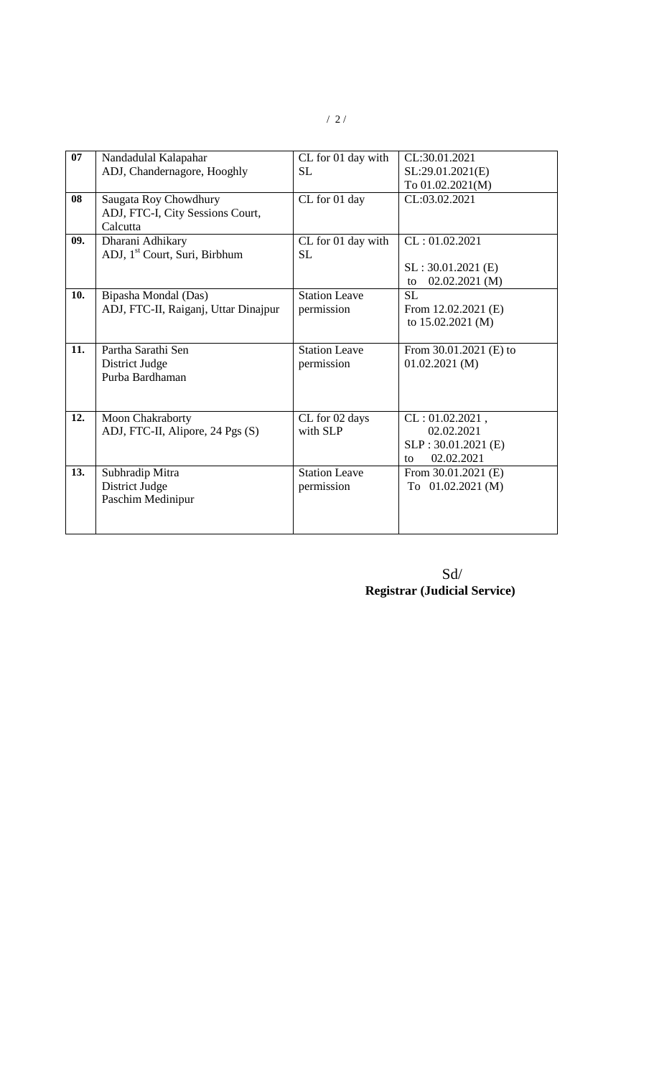| 07  | Nandadulal Kalapahar                      | CL for 01 day with   | CL:30.01.2021            |
|-----|-------------------------------------------|----------------------|--------------------------|
|     | ADJ, Chandernagore, Hooghly               | <b>SL</b>            | SL:29.01.2021(E)         |
|     |                                           |                      | To 01.02.2021(M)         |
| 08  | Saugata Roy Chowdhury                     | CL for 01 day        | CL:03.02.2021            |
|     | ADJ, FTC-I, City Sessions Court,          |                      |                          |
|     | Calcutta                                  |                      |                          |
| 09. | Dharani Adhikary                          | CL for 01 day with   | CL: 01.02.2021           |
|     | ADJ, 1 <sup>st</sup> Court, Suri, Birbhum | <b>SL</b>            |                          |
|     |                                           |                      | $SL: 30.01.2021$ (E)     |
|     |                                           |                      | $02.02.2021$ (M)<br>to   |
| 10. | Bipasha Mondal (Das)                      | <b>Station Leave</b> | <b>SL</b>                |
|     | ADJ, FTC-II, Raiganj, Uttar Dinajpur      | permission           | From $12.02.2021$ (E)    |
|     |                                           |                      | to 15.02.2021 (M)        |
| 11. | Partha Sarathi Sen                        | <b>Station Leave</b> | From $30.01.2021$ (E) to |
|     | District Judge                            | permission           | 01.02.2021(M)            |
|     | Purba Bardhaman                           |                      |                          |
|     |                                           |                      |                          |
|     |                                           |                      |                          |
| 12. | Moon Chakraborty                          | CL for 02 days       | $CL: 01.02.2021$ ,       |
|     | ADJ, FTC-II, Alipore, 24 Pgs (S)          | with SLP             | 02.02.2021               |
|     |                                           |                      | SLP: 30.01.2021 (E)      |
|     |                                           |                      | 02.02.2021<br>to         |
| 13. | Subhradip Mitra                           | <b>Station Leave</b> | From $30.01.2021$ (E)    |
|     | District Judge                            | permission           | To $01.02.2021(M)$       |
|     | Paschim Medinipur                         |                      |                          |
|     |                                           |                      |                          |
|     |                                           |                      |                          |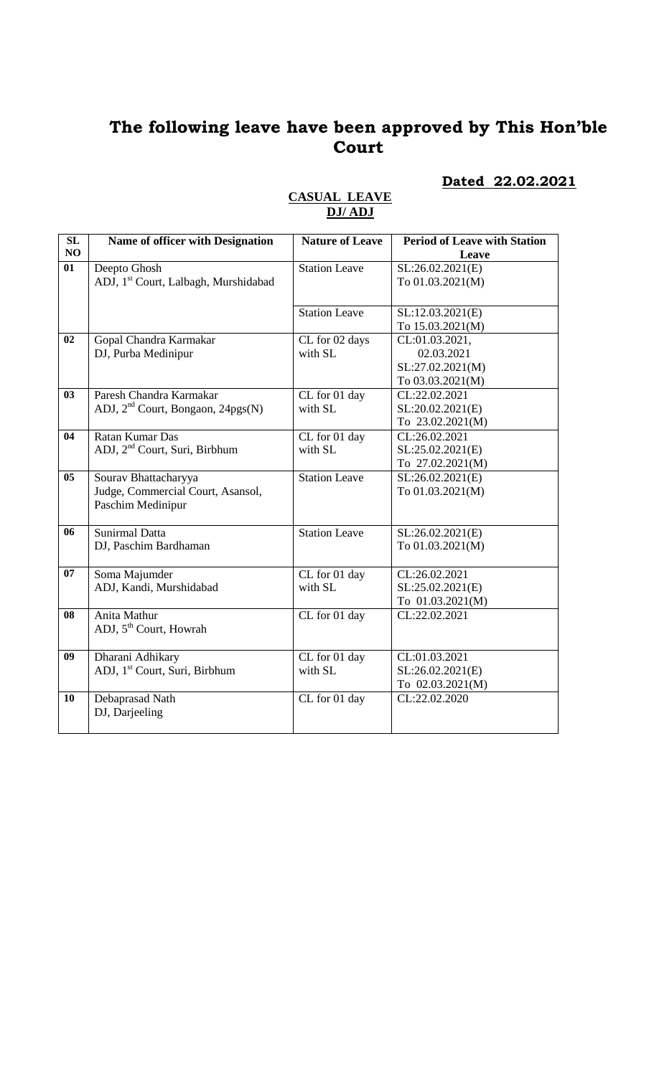**Dated 22.02.2021**

| SL             | Name of officer with Designation                 | <b>Nature of Leave</b> | <b>Period of Leave with Station</b> |
|----------------|--------------------------------------------------|------------------------|-------------------------------------|
| NO             |                                                  |                        | Leave                               |
| 01             | Deepto Ghosh                                     | <b>Station Leave</b>   | SL:26.02.2021(E)                    |
|                | ADJ, 1 <sup>st</sup> Court, Lalbagh, Murshidabad |                        | To 01.03.2021(M)                    |
|                |                                                  |                        |                                     |
|                |                                                  | <b>Station Leave</b>   | SL:12.03.2021(E)                    |
|                |                                                  |                        | To 15.03.2021(M)                    |
| 02             | Gopal Chandra Karmakar                           | CL for 02 days         | CL:01.03.2021,                      |
|                | DJ, Purba Medinipur                              | with SL                | 02.03.2021                          |
|                |                                                  |                        | SL:27.02.2021(M)                    |
|                |                                                  |                        | To 03.03.2021(M)                    |
| 03             | Paresh Chandra Karmakar                          | CL for 01 day          | CL:22.02.2021                       |
|                | ADJ, 2 <sup>nd</sup> Court, Bongaon, 24pgs(N)    | with SL                | SL:20.02.2021(E)                    |
|                |                                                  |                        | To 23.02.2021(M)                    |
| 04             | Ratan Kumar Das                                  | CL for 01 day          | CL:26.02.2021                       |
|                | ADJ, 2 <sup>nd</sup> Court, Suri, Birbhum        | with SL                | SL:25.02.2021(E)                    |
|                |                                                  |                        | To 27.02.2021(M)                    |
| 0 <sub>5</sub> | Sourav Bhattacharyya                             | <b>Station Leave</b>   | SL:26.02.2021(E)                    |
|                | Judge, Commercial Court, Asansol,                |                        | To 01.03.2021(M)                    |
|                | Paschim Medinipur                                |                        |                                     |
| 06             | Sunirmal Datta                                   | <b>Station Leave</b>   | SL:26.02.2021(E)                    |
|                | DJ, Paschim Bardhaman                            |                        | To 01.03.2021(M)                    |
|                |                                                  |                        |                                     |
| 07             | Soma Majumder                                    | CL for 01 day          | CL:26.02.2021                       |
|                | ADJ, Kandi, Murshidabad                          | with SL                | SL:25.02.2021(E)                    |
|                |                                                  |                        | To 01.03.2021(M)                    |
| 08             | Anita Mathur                                     | CL for 01 day          | CL:22.02.2021                       |
|                | ADJ, 5 <sup>th</sup> Court, Howrah               |                        |                                     |
|                |                                                  |                        |                                     |
| 09             | Dharani Adhikary                                 | CL for 01 day          | CL:01.03.2021                       |
|                | ADJ, 1 <sup>st</sup> Court, Suri, Birbhum        | with SL                | SL:26.02.2021(E)                    |
|                |                                                  |                        | To 02.03.2021(M)                    |
| 10             | Debaprasad Nath                                  | CL for 01 day          | CL:22.02.2020                       |
|                | DJ, Darjeeling                                   |                        |                                     |
|                |                                                  |                        |                                     |

### **CASUAL LEAVE DJ/ ADJ**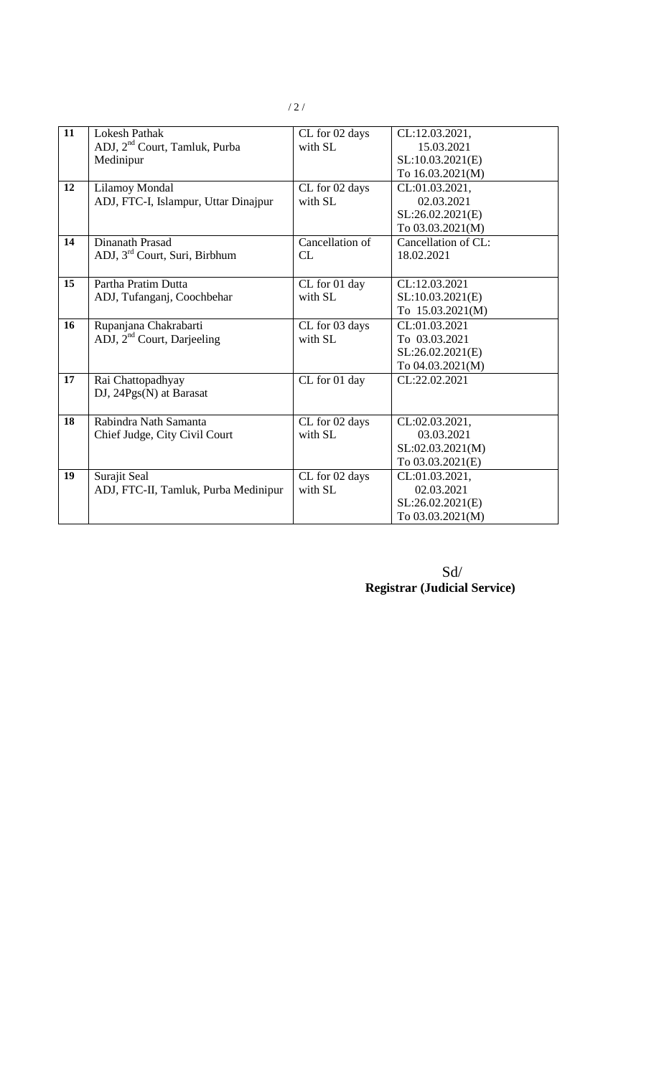| 11 | <b>Lokesh Pathak</b>                      | CL for 02 days  | CL:12.03.2021,      |
|----|-------------------------------------------|-----------------|---------------------|
|    | ADJ, 2 <sup>nd</sup> Court, Tamluk, Purba | with SL         | 15.03.2021          |
|    | Medinipur                                 |                 | SL:10.03.2021(E)    |
|    |                                           |                 | To 16.03.2021(M)    |
| 12 | <b>Lilamoy Mondal</b>                     | CL for 02 days  | CL:01.03.2021,      |
|    | ADJ, FTC-I, Islampur, Uttar Dinajpur      | with SL         | 02.03.2021          |
|    |                                           |                 | SL:26.02.2021(E)    |
|    |                                           |                 | To 03.03.2021(M)    |
| 14 | Dinanath Prasad                           | Cancellation of | Cancellation of CL: |
|    | ADJ, 3 <sup>rd</sup> Court, Suri, Birbhum | CL              | 18.02.2021          |
|    |                                           |                 |                     |
| 15 | Partha Pratim Dutta                       | CL for 01 day   | CL:12.03.2021       |
|    | ADJ, Tufanganj, Coochbehar                | with SL         | SL:10.03.2021(E)    |
|    |                                           |                 | To 15.03.2021(M)    |
| 16 | Rupanjana Chakrabarti                     | CL for 03 days  | CL:01.03.2021       |
|    | ADJ, $2nd$ Court, Darjeeling              | with SL         | To 03.03.2021       |
|    |                                           |                 | SL:26.02.2021(E)    |
|    |                                           |                 | To 04.03.2021(M)    |
| 17 | Rai Chattopadhyay                         | CL for 01 day   | CL:22.02.2021       |
|    | DJ, 24Pgs(N) at Barasat                   |                 |                     |
|    |                                           |                 |                     |
| 18 | Rabindra Nath Samanta                     | CL for 02 days  | CL:02.03.2021,      |
|    | Chief Judge, City Civil Court             | with SL         | 03.03.2021          |
|    |                                           |                 | SL:02.03.2021(M)    |
|    |                                           |                 | To 03.03.2021(E)    |
| 19 | Surajit Seal                              | CL for 02 days  | CL:01.03.2021,      |
|    | ADJ, FTC-II, Tamluk, Purba Medinipur      | with SL         | 02.03.2021          |
|    |                                           |                 | SL:26.02.2021(E)    |
|    |                                           |                 | To 03.03.2021(M)    |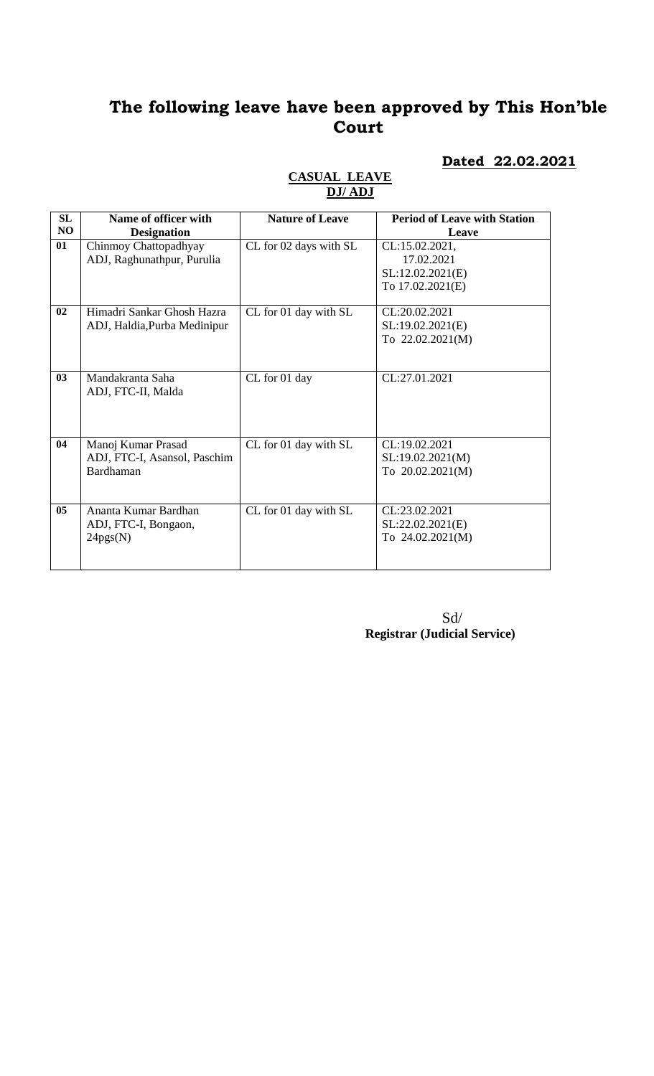#### **Dated 22.02.2021**

#### **CASUAL LEAVE DJ/ ADJ**

| SL             | Name of officer with         | <b>Nature of Leave</b> | <b>Period of Leave with Station</b> |
|----------------|------------------------------|------------------------|-------------------------------------|
| N <sub>O</sub> | <b>Designation</b>           |                        | Leave                               |
| 01             | Chinmoy Chattopadhyay        | CL for 02 days with SL | CL:15.02.2021,                      |
|                | ADJ, Raghunathpur, Purulia   |                        | 17.02.2021                          |
|                |                              |                        | SL:12.02.2021(E)                    |
|                |                              |                        | To 17.02.2021(E)                    |
| 02             | Himadri Sankar Ghosh Hazra   | CL for 01 day with SL  | CL:20.02.2021                       |
|                | ADJ, Haldia, Purba Medinipur |                        | SL:19.02.2021(E)                    |
|                |                              |                        | To 22.02.2021(M)                    |
|                |                              |                        |                                     |
| 03             | Mandakranta Saha             | CL for 01 day          | CL:27.01.2021                       |
|                | ADJ, FTC-II, Malda           |                        |                                     |
|                |                              |                        |                                     |
|                |                              |                        |                                     |
| 04             | Manoj Kumar Prasad           | CL for 01 day with SL  | CL:19.02.2021                       |
|                | ADJ, FTC-I, Asansol, Paschim |                        | SL:19.02.2021(M)                    |
|                | Bardhaman                    |                        | To 20.02.2021(M)                    |
|                |                              |                        |                                     |
| 05             | Ananta Kumar Bardhan         | CL for 01 day with SL  | CL:23.02.2021                       |
|                | ADJ, FTC-I, Bongaon,         |                        | SL:22.02.2021(E)                    |
|                | 24pgs(N)                     |                        | To 24.02.2021(M)                    |
|                |                              |                        |                                     |
|                |                              |                        |                                     |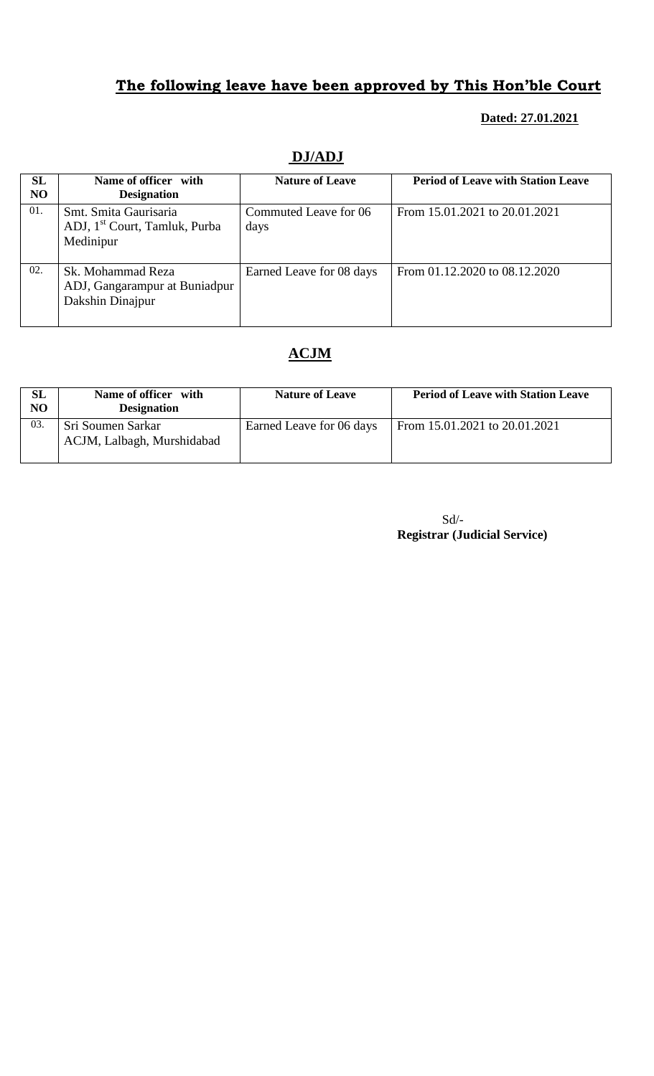## **Dated: 27.01.2021**

| SL<br>N <sub>O</sub> | Name of officer with<br><b>Designation</b>                                      | <b>Nature of Leave</b>        | <b>Period of Leave with Station Leave</b> |
|----------------------|---------------------------------------------------------------------------------|-------------------------------|-------------------------------------------|
| 01.                  | Smt. Smita Gaurisaria<br>ADJ, 1 <sup>st</sup> Court, Tamluk, Purba<br>Medinipur | Commuted Leave for 06<br>days | From 15.01.2021 to 20.01.2021             |
| 02.                  | Sk. Mohammad Reza<br>ADJ, Gangarampur at Buniadpur<br>Dakshin Dinajpur          | Earned Leave for 08 days      | From 01.12.2020 to 08.12.2020             |

# **DJ/ADJ**

# **ACJM**

| <b>SL</b><br>N <sub>O</sub> | Name of officer with<br><b>Designation</b>      | <b>Nature of Leave</b>   | <b>Period of Leave with Station Leave</b> |
|-----------------------------|-------------------------------------------------|--------------------------|-------------------------------------------|
| 03.                         | Sri Soumen Sarkar<br>ACJM, Lalbagh, Murshidabad | Earned Leave for 06 days | From 15.01.2021 to 20.01.2021             |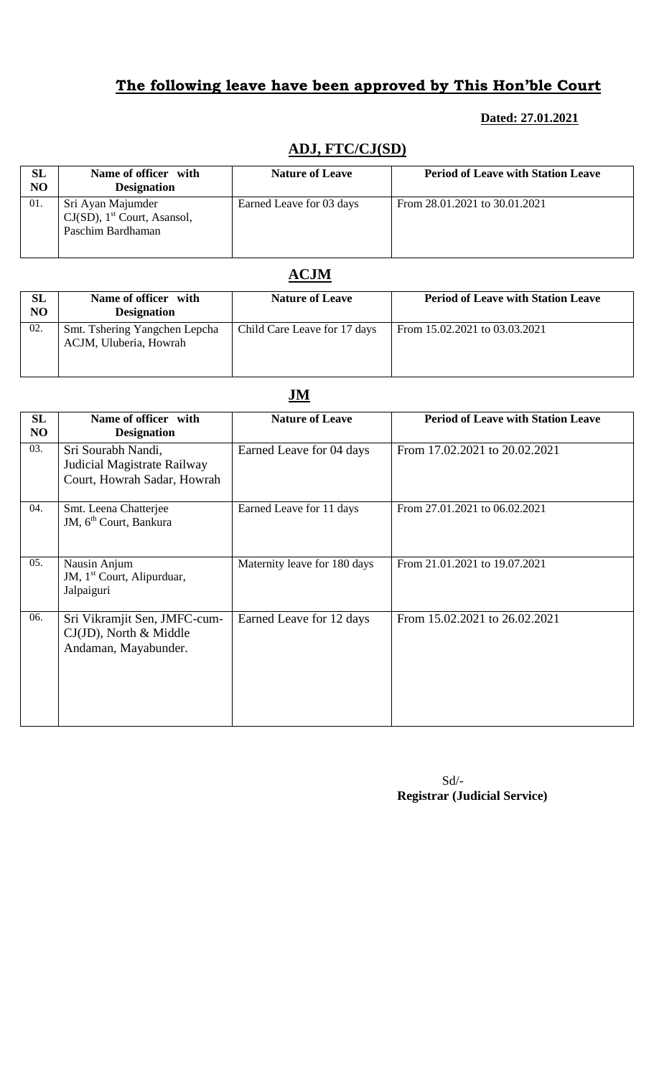### **Dated: 27.01.2021**

### **ADJ, FTC/CJ(SD)**

| SL<br>N <sub>O</sub> | Name of officer with<br><b>Designation</b>                                           | <b>Nature of Leave</b>   | <b>Period of Leave with Station Leave</b> |
|----------------------|--------------------------------------------------------------------------------------|--------------------------|-------------------------------------------|
| 01.                  | Sri Ayan Majumder<br>$CJ(SD)$ , 1 <sup>st</sup> Court, Asansol,<br>Paschim Bardhaman | Earned Leave for 03 days | From 28.01.2021 to 30.01.2021             |

## **ACJM**

| SL<br>NO | Name of officer with<br><b>Designation</b>              | <b>Nature of Leave</b>       | <b>Period of Leave with Station Leave</b> |
|----------|---------------------------------------------------------|------------------------------|-------------------------------------------|
| 02.      | Smt. Tshering Yangchen Lepcha<br>ACJM, Uluberia, Howrah | Child Care Leave for 17 days | From 15.02.2021 to 03.03.2021             |

# **JM**

| <b>SL</b><br>NO | Name of officer with<br><b>Designation</b>                                        | <b>Nature of Leave</b>       | <b>Period of Leave with Station Leave</b> |
|-----------------|-----------------------------------------------------------------------------------|------------------------------|-------------------------------------------|
| 03.             | Sri Sourabh Nandi,<br>Judicial Magistrate Railway<br>Court, Howrah Sadar, Howrah  | Earned Leave for 04 days     | From 17.02.2021 to 20.02.2021             |
| 04.             | Smt. Leena Chatterjee<br>JM, 6 <sup>th</sup> Court, Bankura                       | Earned Leave for 11 days     | From 27.01.2021 to 06.02.2021             |
| 05.             | Nausin Anjum<br>JM, 1 <sup>st</sup> Court, Alipurduar,<br>Jalpaiguri              | Maternity leave for 180 days | From 21.01.2021 to 19.07.2021             |
| 06.             | Sri Vikramjit Sen, JMFC-cum-<br>$CJ(JD)$ , North & Middle<br>Andaman, Mayabunder. | Earned Leave for 12 days     | From 15.02.2021 to 26.02.2021             |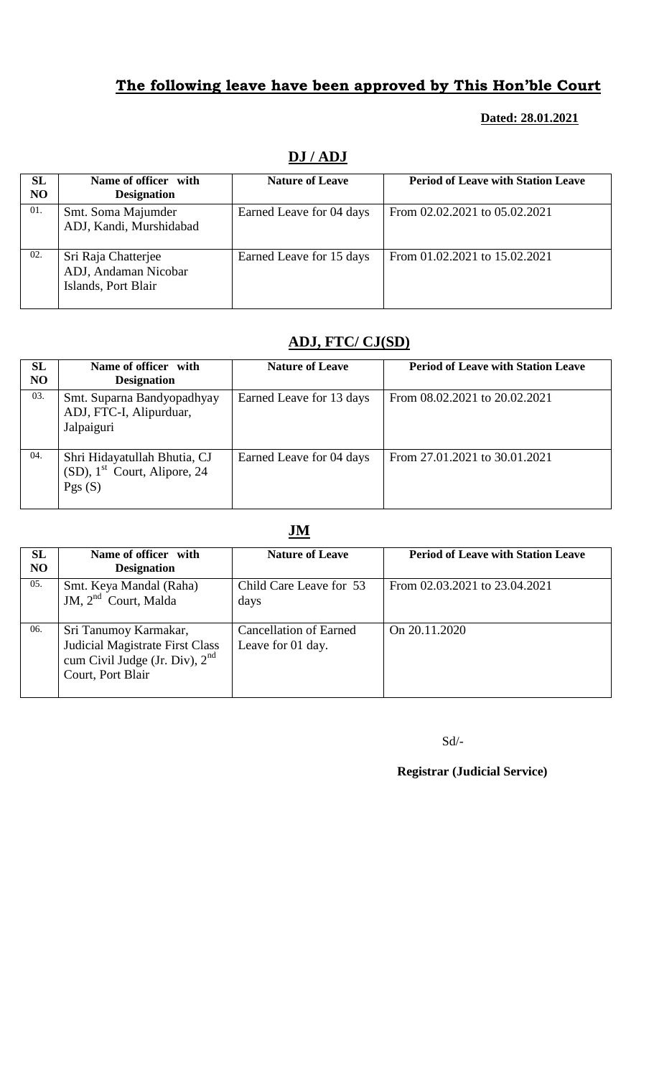### **Dated: 28.01.2021**

| <b>SL</b><br>N <sub>O</sub> | Name of officer with<br><b>Designation</b>                         | <b>Nature of Leave</b>   | <b>Period of Leave with Station Leave</b> |
|-----------------------------|--------------------------------------------------------------------|--------------------------|-------------------------------------------|
| 01.                         | Smt. Soma Majumder<br>ADJ, Kandi, Murshidabad                      | Earned Leave for 04 days | From 02.02.2021 to 05.02.2021             |
| 02.                         | Sri Raja Chatterjee<br>ADJ, Andaman Nicobar<br>Islands, Port Blair | Earned Leave for 15 days | From 01.02.2021 to 15.02.2021             |

# **DJ / ADJ**

## **ADJ, FTC/ CJ(SD)**

| SL<br>N <sub>O</sub> | Name of officer with<br><b>Designation</b>                                            | <b>Nature of Leave</b>   | <b>Period of Leave with Station Leave</b> |
|----------------------|---------------------------------------------------------------------------------------|--------------------------|-------------------------------------------|
| 03.                  | Smt. Suparna Bandyopadhyay<br>ADJ, FTC-I, Alipurduar,<br>Jalpaiguri                   | Earned Leave for 13 days | From 08.02.2021 to 20.02.2021             |
| 04.                  | Shri Hidayatullah Bhutia, CJ<br>$(SD)$ , 1 <sup>st</sup> Court, Alipore, 24<br>Pgs(S) | Earned Leave for 04 days | From 27.01.2021 to 30.01.2021             |

## **JM**

| SL<br>N <sub>O</sub> | Name of officer with<br><b>Designation</b>                                                                        | <b>Nature of Leave</b>                             | <b>Period of Leave with Station Leave</b> |
|----------------------|-------------------------------------------------------------------------------------------------------------------|----------------------------------------------------|-------------------------------------------|
| 05.                  | Smt. Keya Mandal (Raha)<br>JM, 2 <sup>nd</sup> Court, Malda                                                       | Child Care Leave for 53<br>days                    | From 02.03.2021 to 23.04.2021             |
| 06.                  | Sri Tanumoy Karmakar,<br>Judicial Magistrate First Class<br>cum Civil Judge (Jr. Div), $2nd$<br>Court, Port Blair | <b>Cancellation of Earned</b><br>Leave for 01 day. | On 20.11.2020                             |

Sd/-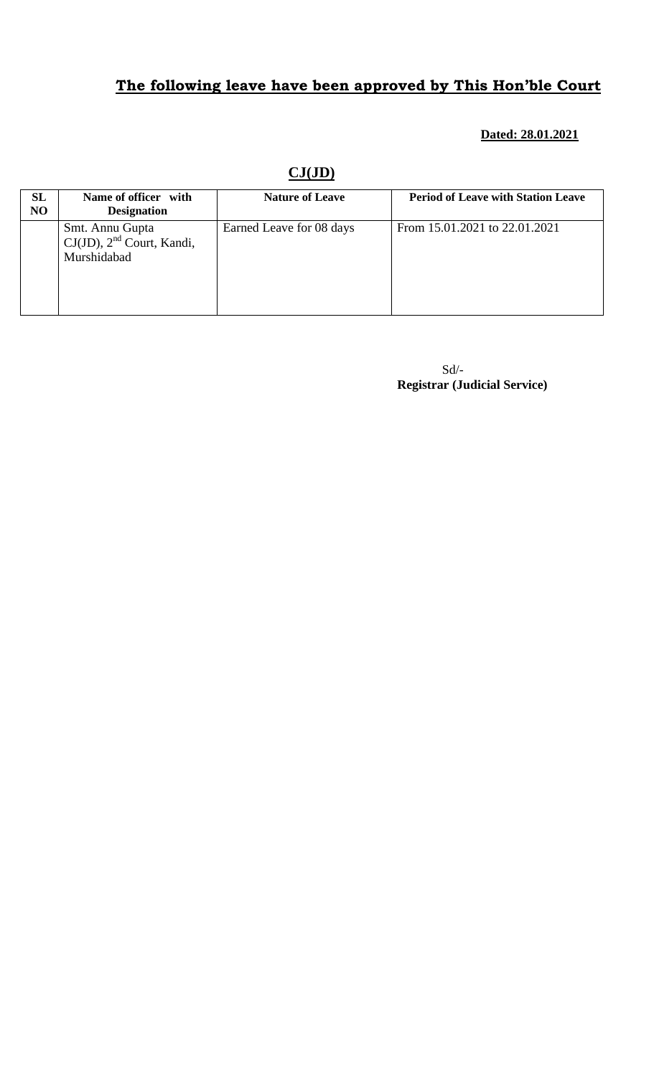### **Dated: 28.01.2021**

| SL<br>N <sub>O</sub> | Name of officer with<br><b>Designation</b>                       | <b>Nature of Leave</b>   | <b>Period of Leave with Station Leave</b> |
|----------------------|------------------------------------------------------------------|--------------------------|-------------------------------------------|
|                      | Smt. Annu Gupta<br>$CJ(JD)$ , $2nd$ Court, Kandi,<br>Murshidabad | Earned Leave for 08 days | From 15.01.2021 to 22.01.2021             |

**CJ(JD)**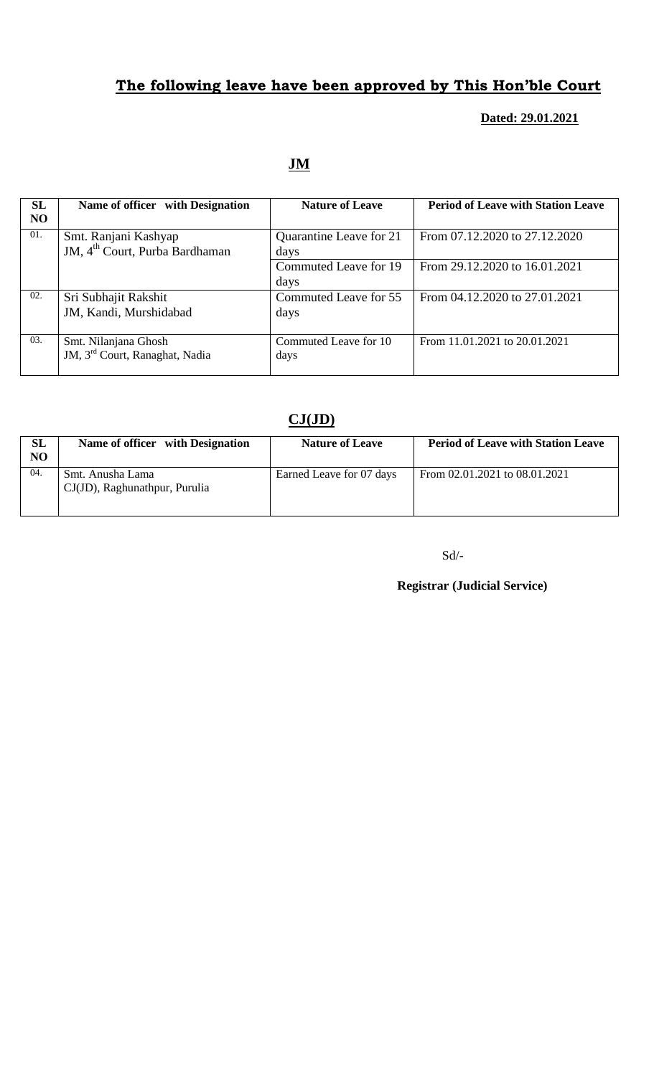### **Dated: 29.01.2021**

# **JM**

| <b>SL</b><br>N <sub>O</sub> | Name of officer with Designation                                   | <b>Nature of Leave</b>          | <b>Period of Leave with Station Leave</b> |
|-----------------------------|--------------------------------------------------------------------|---------------------------------|-------------------------------------------|
| 01.                         | Smt. Ranjani Kashyap<br>JM, 4 <sup>th</sup> Court, Purba Bardhaman | Quarantine Leave for 21<br>days | From 07.12.2020 to 27.12.2020             |
|                             |                                                                    | Commuted Leave for 19<br>days   | From 29.12.2020 to 16.01.2021             |
| 02.                         | Sri Subhajit Rakshit<br>JM, Kandi, Murshidabad                     | Commuted Leave for 55<br>days   | From 04.12.2020 to 27.01.2021             |
| 03.                         | Smt. Nilanjana Ghosh<br>JM, 3 <sup>rd</sup> Court, Ranaghat, Nadia | Commuted Leave for 10<br>days   | From 11.01.2021 to 20.01.2021             |

## **CJ(JD)**

| SL<br>N <sub>O</sub> | Name of officer with Designation                  | <b>Nature of Leave</b>   | <b>Period of Leave with Station Leave</b> |
|----------------------|---------------------------------------------------|--------------------------|-------------------------------------------|
| 04.                  | Smt. Anusha Lama<br>CJ(JD), Raghunathpur, Purulia | Earned Leave for 07 days | From 02.01.2021 to 08.01.2021             |

### Sd/-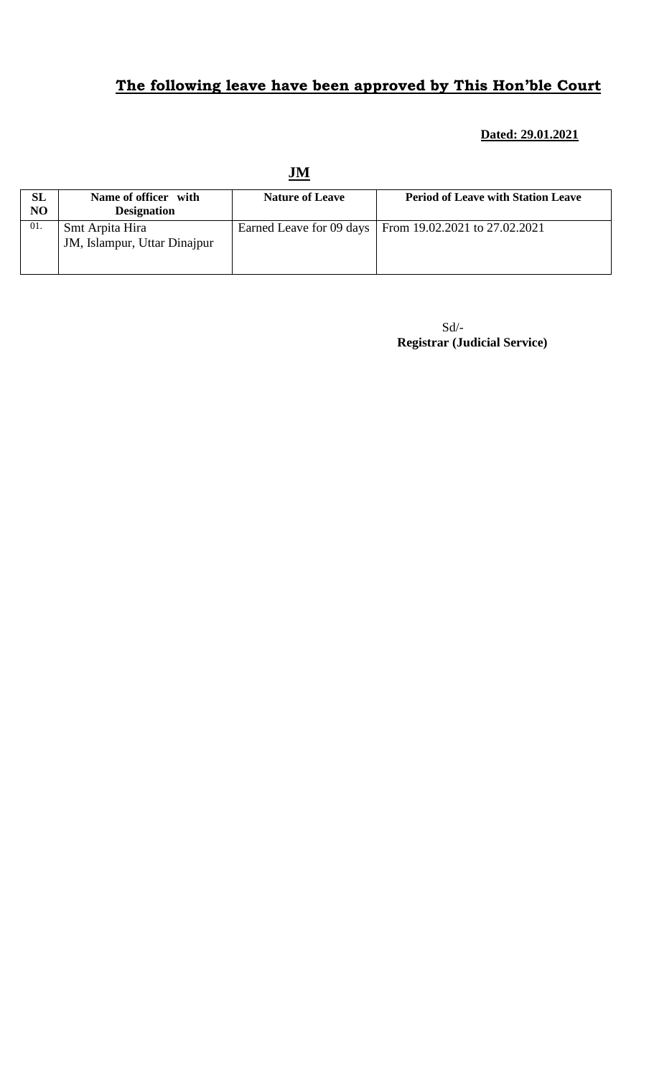# **Dated: 29.01.2021**

|                 |                                                 | JM                     |                                                          |
|-----------------|-------------------------------------------------|------------------------|----------------------------------------------------------|
| <b>SL</b><br>NO | Name of officer with<br><b>Designation</b>      | <b>Nature of Leave</b> | <b>Period of Leave with Station Leave</b>                |
| 01.             | Smt Arpita Hira<br>JM, Islampur, Uttar Dinajpur |                        | Earned Leave for 09 days   From 19.02.2021 to 27.02.2021 |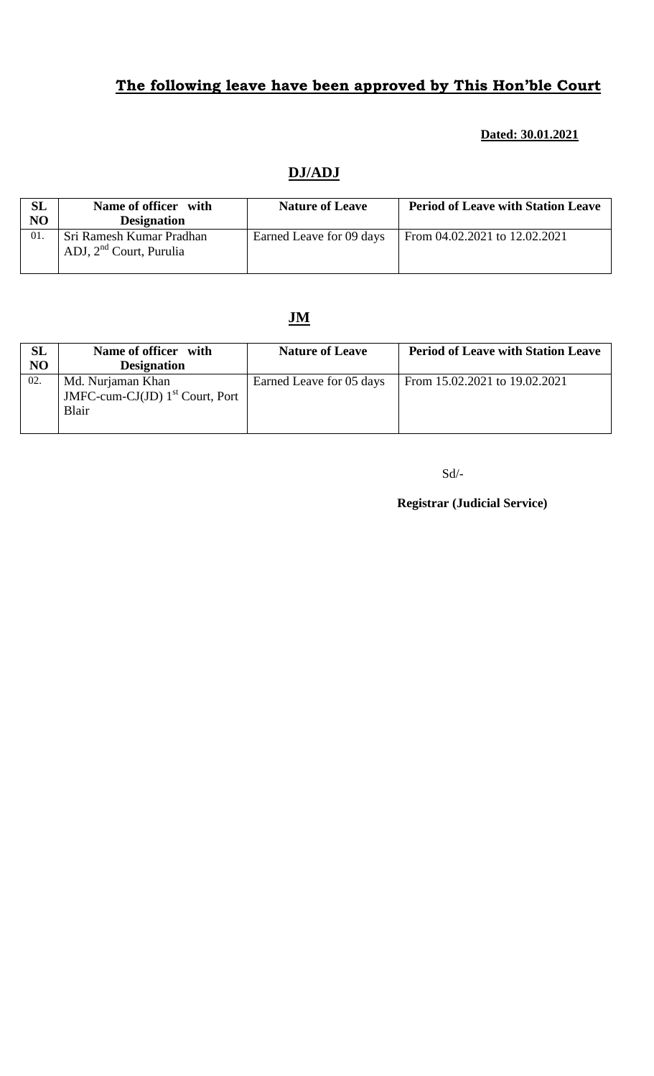### **Dated: 30.01.2021**

## **DJ/ADJ**

| <b>SL</b><br>NO | Name of officer with<br><b>Designation</b>            | <b>Nature of Leave</b>   | <b>Period of Leave with Station Leave</b> |
|-----------------|-------------------------------------------------------|--------------------------|-------------------------------------------|
| 01.             | Sri Ramesh Kumar Pradhan<br>ADJ, $2nd$ Court, Purulia | Earned Leave for 09 days | From 04.02.2021 to 12.02.2021             |

## **JM**

| <b>SL</b> | Name of officer with                                            | <b>Nature of Leave</b>   | <b>Period of Leave with Station Leave</b> |
|-----------|-----------------------------------------------------------------|--------------------------|-------------------------------------------|
| NO        | <b>Designation</b>                                              |                          |                                           |
| 02.       | Md. Nurjaman Khan<br>JMFC-cum-CJ(JD) $1st$ Court, Port<br>Blair | Earned Leave for 05 days | From 15.02.2021 to 19.02.2021             |

Sd/-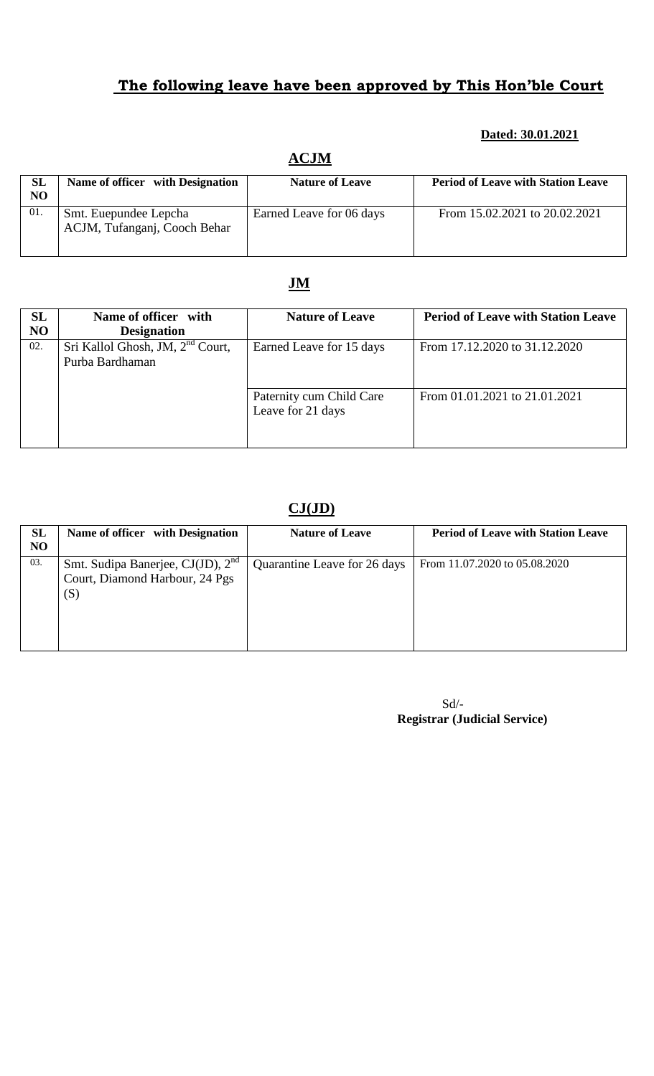### **Dated: 30.01.2021**

| <b>SL</b><br>N <sub>O</sub> | Name of officer with Designation                      | <b>Nature of Leave</b>   | <b>Period of Leave with Station Leave</b> |
|-----------------------------|-------------------------------------------------------|--------------------------|-------------------------------------------|
| 01.                         | Smt. Euepundee Lepcha<br>ACJM, Tufanganj, Cooch Behar | Earned Leave for 06 days | From 15.02.2021 to 20.02.2021             |

## **ACJM**

## **JM**

| SL  | Name of officer with                                            | <b>Nature of Leave</b>                        | <b>Period of Leave with Station Leave</b> |
|-----|-----------------------------------------------------------------|-----------------------------------------------|-------------------------------------------|
| NO  | <b>Designation</b>                                              |                                               |                                           |
| 02. | Sri Kallol Ghosh, JM, 2 <sup>nd</sup> Court,<br>Purba Bardhaman | Earned Leave for 15 days                      | From 17.12.2020 to 31.12.2020             |
|     |                                                                 | Paternity cum Child Care<br>Leave for 21 days | From 01.01.2021 to 21.01.2021             |

## **CJ(JD)**

| SL<br>NO | Name of officer with Designation                                                       | <b>Nature of Leave</b>       | <b>Period of Leave with Station Leave</b> |
|----------|----------------------------------------------------------------------------------------|------------------------------|-------------------------------------------|
| 03.      | Smt. Sudipa Banerjee, CJ(JD), 2 <sup>nd</sup><br>Court, Diamond Harbour, 24 Pgs<br>(S) | Quarantine Leave for 26 days | From 11.07.2020 to 05.08.2020             |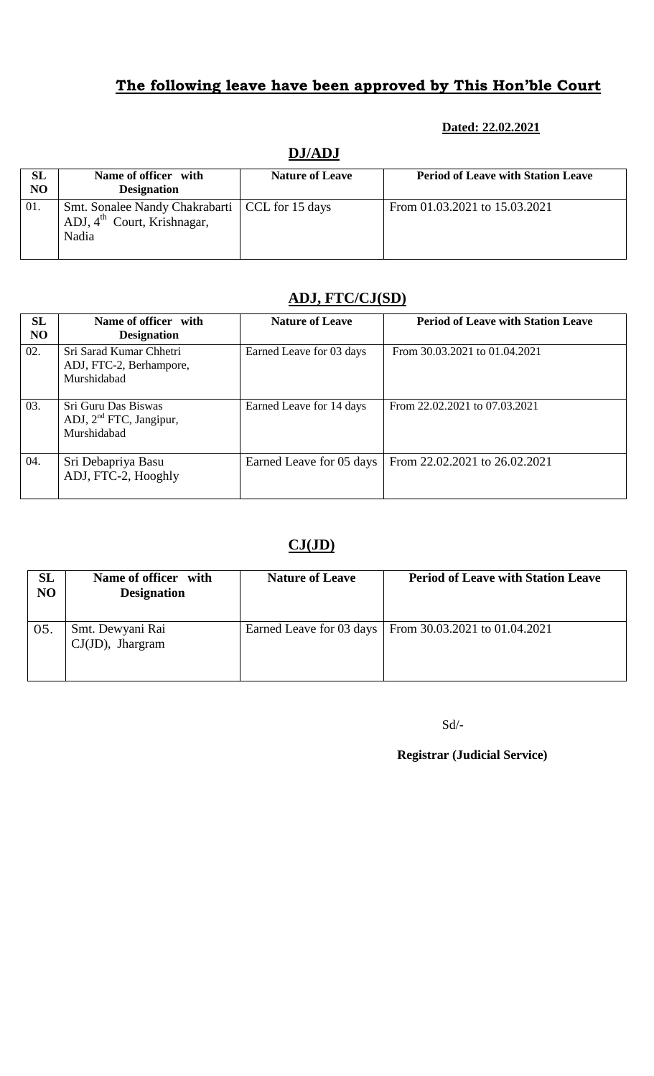### **Dated: 22.02.2021**

| SL             | Name of officer with                                                                                 | <b>Nature of Leave</b> | <b>Period of Leave with Station Leave</b> |
|----------------|------------------------------------------------------------------------------------------------------|------------------------|-------------------------------------------|
| N <sub>O</sub> | <b>Designation</b>                                                                                   |                        |                                           |
| 01.            | Smt. Sonalee Nandy Chakrabarti   CCL for 15 days<br>ADJ, $4^{\text{th}}$ Court, Krishnagar,<br>Nadia |                        | From 01.03.2021 to 15.03.2021             |

### **DJ/ADJ**

## **ADJ, FTC/CJ(SD)**

| SL<br>N <sub>O</sub> | Name of officer with<br><b>Designation</b>                                | <b>Nature of Leave</b>   | <b>Period of Leave with Station Leave</b> |
|----------------------|---------------------------------------------------------------------------|--------------------------|-------------------------------------------|
| 02.                  | Sri Sarad Kumar Chhetri<br>ADJ, FTC-2, Berhampore,<br>Murshidabad         | Earned Leave for 03 days | From 30.03.2021 to 01.04.2021             |
| 03.                  | Sri Guru Das Biswas<br>ADJ, 2 <sup>nd</sup> FTC, Jangipur,<br>Murshidabad | Earned Leave for 14 days | From 22.02.2021 to 07.03.2021             |
| 04.                  | Sri Debapriya Basu<br>ADJ, FTC-2, Hooghly                                 | Earned Leave for 05 days | From 22.02.2021 to 26.02.2021             |

## **CJ(JD)**

| <b>SL</b><br>NO | Name of officer with<br><b>Designation</b> | <b>Nature of Leave</b>   | <b>Period of Leave with Station Leave</b> |
|-----------------|--------------------------------------------|--------------------------|-------------------------------------------|
| 05.             | Smt. Dewyani Rai<br>$CJ(JD)$ , Jhargram    | Earned Leave for 03 days | From $30.03.2021$ to $01.04.2021$         |

Sd/-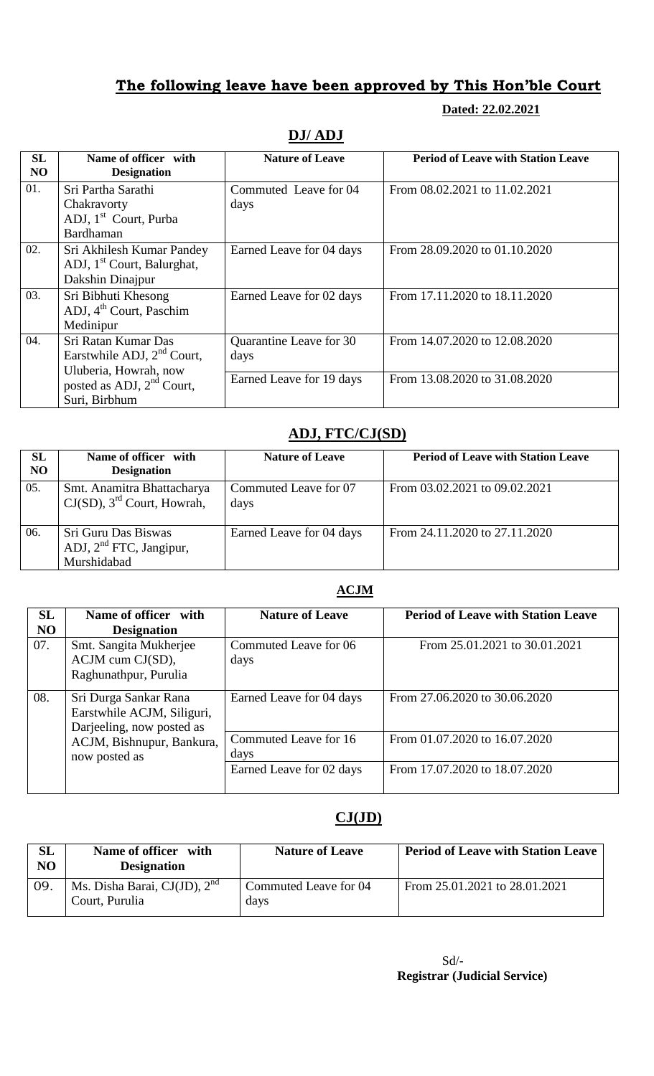**Dated: 22.02.2021**

| SL<br>N <sub>O</sub> | Name of officer with<br><b>Designation</b>                                              | <b>Nature of Leave</b>          | <b>Period of Leave with Station Leave</b> |
|----------------------|-----------------------------------------------------------------------------------------|---------------------------------|-------------------------------------------|
| 01.                  | Sri Partha Sarathi<br>Chakravorty<br>ADJ, 1 <sup>st</sup> Court, Purba<br>Bardhaman     | Commuted Leave for 04<br>days   | From 08.02.2021 to 11.02.2021             |
| 02.                  | Sri Akhilesh Kumar Pandey<br>ADJ, 1 <sup>st</sup> Court, Balurghat,<br>Dakshin Dinajpur | Earned Leave for 04 days        | From 28.09.2020 to 01.10.2020             |
| 03.                  | Sri Bibhuti Khesong<br>ADJ, 4 <sup>th</sup> Court, Paschim<br>Medinipur                 | Earned Leave for 02 days        | From 17.11.2020 to 18.11.2020             |
| 04.                  | Sri Ratan Kumar Das<br>Earstwhile ADJ, 2 <sup>nd</sup> Court,                           | Quarantine Leave for 30<br>days | From 14.07.2020 to 12.08.2020             |
|                      | Uluberia, Howrah, now<br>posted as ADJ, $2nd$ Court,<br>Suri, Birbhum                   | Earned Leave for 19 days        | From 13.08.2020 to 31.08.2020             |

## **DJ/ ADJ**

## **ADJ, FTC/CJ(SD)**

| <b>SL</b><br>N <sub>O</sub> | Name of officer with<br><b>Designation</b>                              | <b>Nature of Leave</b>        | <b>Period of Leave with Station Leave</b> |
|-----------------------------|-------------------------------------------------------------------------|-------------------------------|-------------------------------------------|
| 05.                         | Smt. Anamitra Bhattacharya<br>$CJ(SD)$ , 3 <sup>rd</sup> Court, Howrah, | Commuted Leave for 07<br>days | From 03.02.2021 to 09.02.2021             |
| 06.                         | Sri Guru Das Biswas<br>ADJ, $2nd$ FTC, Jangipur,<br>Murshidabad         | Earned Leave for 04 days      | From 24.11.2020 to 27.11.2020             |

#### **ACJM**

| SL<br>N <sub>O</sub> | Name of officer with<br><b>Designation</b>                                       | <b>Nature of Leave</b>        | <b>Period of Leave with Station Leave</b> |
|----------------------|----------------------------------------------------------------------------------|-------------------------------|-------------------------------------------|
| 07.                  | Smt. Sangita Mukherjee<br>ACJM cum CJ(SD),<br>Raghunathpur, Purulia              | Commuted Leave for 06<br>days | From 25.01.2021 to 30.01.2021             |
| 08.                  | Sri Durga Sankar Rana<br>Earstwhile ACJM, Siliguri,<br>Darjeeling, now posted as | Earned Leave for 04 days      | From 27.06.2020 to 30.06.2020             |
|                      | ACJM, Bishnupur, Bankura,<br>now posted as                                       | Commuted Leave for 16<br>days | From 01.07.2020 to 16.07.2020             |
|                      |                                                                                  | Earned Leave for 02 days      | From 17.07.2020 to 18.07.2020             |

## **CJ(JD)**

| $\rm SL$<br>NO | Name of officer with<br><b>Designation</b>          | <b>Nature of Leave</b>        | <b>Period of Leave with Station Leave</b> |
|----------------|-----------------------------------------------------|-------------------------------|-------------------------------------------|
| 09.            | Ms. Disha Barai, $CJ(JD)$ , $2nd$<br>Court, Purulia | Commuted Leave for 04<br>davs | From 25.01.2021 to 28.01.2021             |